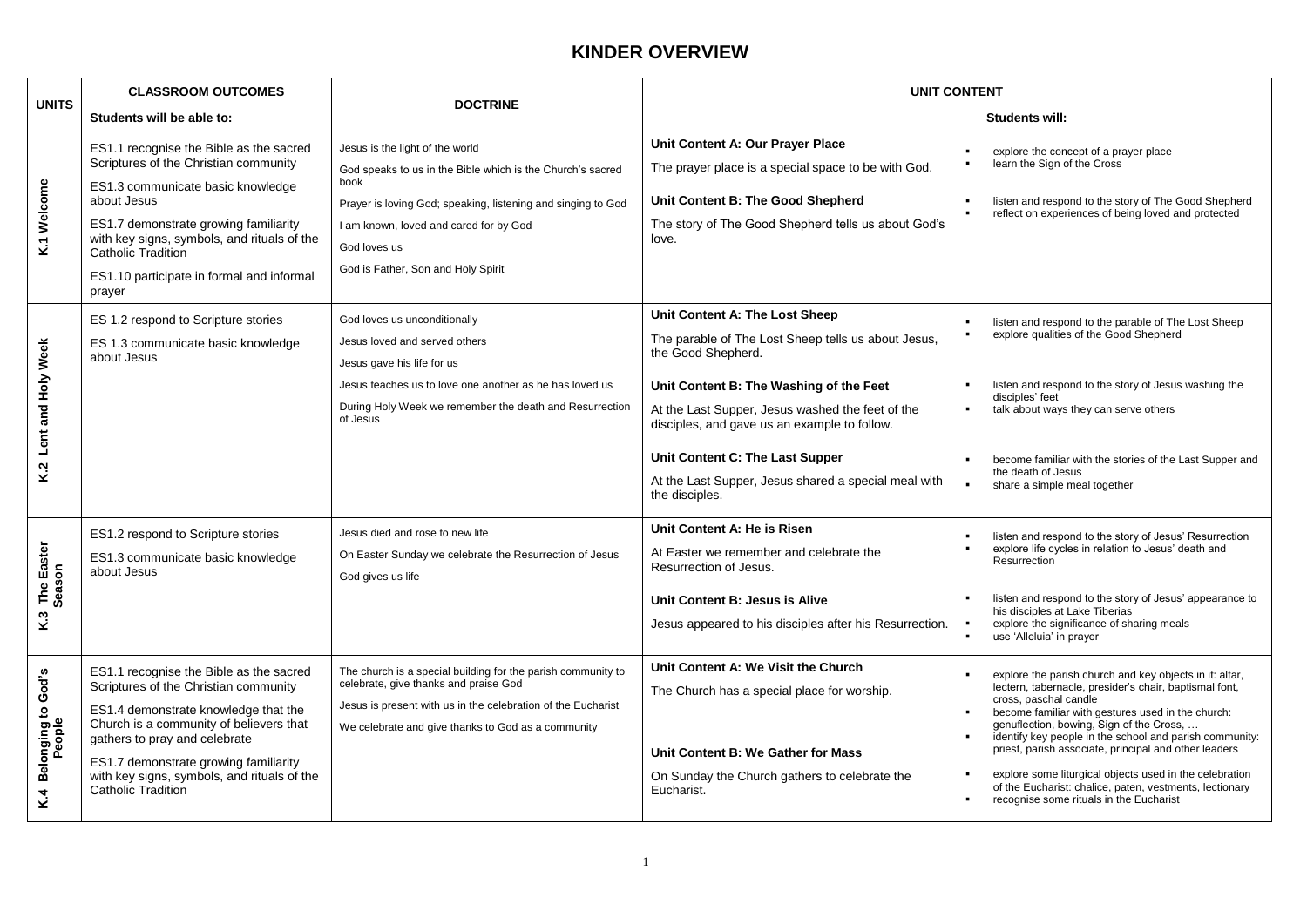# **KINDER OVERVIEW**

| <b>UNITS</b>                                          | <b>CLASSROOM OUTCOMES</b>                                                                                                                                                                                                                                                                                          | <b>DOCTRINE</b>                                                                                                                                                                                                                                                       | <b>UNIT CONTENT</b>                                                                                                                                                                                                                                                                                                                                                                                    |                                                                                                                                                                                                                                                                                                                                                                                                                                                                                                                                        |  |
|-------------------------------------------------------|--------------------------------------------------------------------------------------------------------------------------------------------------------------------------------------------------------------------------------------------------------------------------------------------------------------------|-----------------------------------------------------------------------------------------------------------------------------------------------------------------------------------------------------------------------------------------------------------------------|--------------------------------------------------------------------------------------------------------------------------------------------------------------------------------------------------------------------------------------------------------------------------------------------------------------------------------------------------------------------------------------------------------|----------------------------------------------------------------------------------------------------------------------------------------------------------------------------------------------------------------------------------------------------------------------------------------------------------------------------------------------------------------------------------------------------------------------------------------------------------------------------------------------------------------------------------------|--|
|                                                       | Students will be able to:                                                                                                                                                                                                                                                                                          |                                                                                                                                                                                                                                                                       |                                                                                                                                                                                                                                                                                                                                                                                                        | Students will:                                                                                                                                                                                                                                                                                                                                                                                                                                                                                                                         |  |
| K.1 Welcome                                           | ES1.1 recognise the Bible as the sacred<br>Scriptures of the Christian community<br>ES1.3 communicate basic knowledge<br>about Jesus<br>ES1.7 demonstrate growing familiarity<br>with key signs, symbols, and rituals of the<br>Catholic Tradition<br>ES1.10 participate in formal and informal<br>prayer          | Jesus is the light of the world<br>God speaks to us in the Bible which is the Church's sacred<br>book<br>Prayer is loving God; speaking, listening and singing to God<br>I am known, loved and cared for by God<br>God loves us<br>God is Father, Son and Holy Spirit | Unit Content A: Our Prayer Place<br>The prayer place is a special space to be with God.<br>Unit Content B: The Good Shepherd<br>The story of The Good Shepherd tells us about God's<br>love.                                                                                                                                                                                                           | explore the concept of a prayer place<br>learn the Sign of the Cross<br>listen and respond to the story of The Good Shepherd<br>reflect on experiences of being loved and protected                                                                                                                                                                                                                                                                                                                                                    |  |
| Lent and Holy Week<br>K.2                             | ES 1.2 respond to Scripture stories<br>ES 1.3 communicate basic knowledge<br>about Jesus                                                                                                                                                                                                                           | God loves us unconditionally<br>Jesus loved and served others<br>Jesus gave his life for us<br>Jesus teaches us to love one another as he has loved us<br>During Holy Week we remember the death and Resurrection<br>of Jesus                                         | Unit Content A: The Lost Sheep<br>$\blacksquare$<br>The parable of The Lost Sheep tells us about Jesus,<br>the Good Shepherd.<br>Unit Content B: The Washing of the Feet<br>At the Last Supper, Jesus washed the feet of the<br>disciples, and gave us an example to follow.<br>Unit Content C: The Last Supper<br>At the Last Supper, Jesus shared a special meal with<br>$\bullet$<br>the disciples. | listen and respond to the parable of The Lost Sheep<br>explore qualities of the Good Shepherd<br>listen and respond to the story of Jesus washing the<br>disciples' feet<br>talk about ways they can serve others<br>become familiar with the stories of the Last Supper and<br>the death of Jesus<br>share a simple meal together                                                                                                                                                                                                     |  |
| The Easter<br>Season<br>K.3                           | ES1.2 respond to Scripture stories<br>ES1.3 communicate basic knowledge<br>about Jesus                                                                                                                                                                                                                             | Jesus died and rose to new life<br>On Easter Sunday we celebrate the Resurrection of Jesus<br>God gives us life                                                                                                                                                       | Unit Content A: He is Risen<br>At Easter we remember and celebrate the<br>Resurrection of Jesus.<br>Unit Content B: Jesus is Alive<br>Jesus appeared to his disciples after his Resurrection.                                                                                                                                                                                                          | listen and respond to the story of Jesus' Resurrection<br>explore life cycles in relation to Jesus' death and<br>Resurrection<br>listen and respond to the story of Jesus' appearance to<br>his disciples at Lake Tiberias<br>explore the significance of sharing meals<br>use 'Alleluia' in prayer                                                                                                                                                                                                                                    |  |
| <b>Belonging to God's</b><br>People<br>K <sub>4</sub> | ES1.1 recognise the Bible as the sacred<br>Scriptures of the Christian community<br>ES1.4 demonstrate knowledge that the<br>Church is a community of believers that<br>gathers to pray and celebrate<br>ES1.7 demonstrate growing familiarity<br>with key signs, symbols, and rituals of the<br>Catholic Tradition | The church is a special building for the parish community to<br>celebrate, give thanks and praise God<br>Jesus is present with us in the celebration of the Eucharist<br>We celebrate and give thanks to God as a community                                           | Unit Content A: We Visit the Church<br>The Church has a special place for worship.<br>Unit Content B: We Gather for Mass<br>On Sunday the Church gathers to celebrate the<br>Eucharist.                                                                                                                                                                                                                | explore the parish church and key objects in it: altar,<br>lectern, tabernacle, presider's chair, baptismal font,<br>cross, paschal candle<br>become familiar with gestures used in the church:<br>genuflection, bowing, Sign of the Cross,<br>identify key people in the school and parish community:<br>priest, parish associate, principal and other leaders<br>explore some liturgical objects used in the celebration<br>of the Eucharist: chalice, paten, vestments, lectionary<br>recognise some rituals in the Eucharist<br>٠. |  |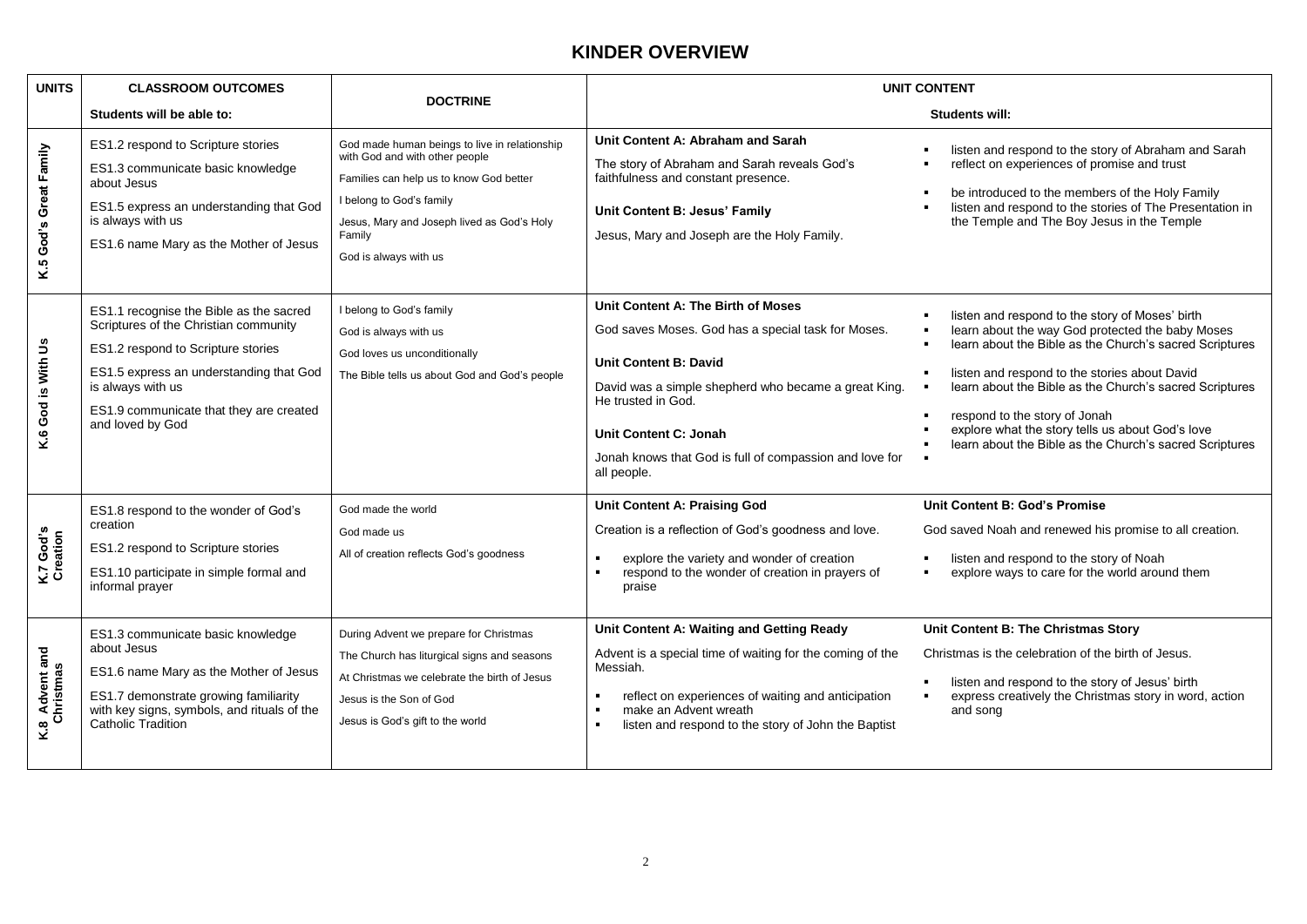### **KINDER OVERVIEW**

| <b>UNITS</b>                | <b>CLASSROOM OUTCOMES</b>                                                                                                                                                                                                                             | <b>DOCTRINE</b>                                                                                                                                                                                                                         | <b>UNIT CONTENT</b>                                                                                                                                                                                                                                                                                       |                                                                                                                                                                                                                                                                                                                                                                                                                            |
|-----------------------------|-------------------------------------------------------------------------------------------------------------------------------------------------------------------------------------------------------------------------------------------------------|-----------------------------------------------------------------------------------------------------------------------------------------------------------------------------------------------------------------------------------------|-----------------------------------------------------------------------------------------------------------------------------------------------------------------------------------------------------------------------------------------------------------------------------------------------------------|----------------------------------------------------------------------------------------------------------------------------------------------------------------------------------------------------------------------------------------------------------------------------------------------------------------------------------------------------------------------------------------------------------------------------|
|                             | Students will be able to:                                                                                                                                                                                                                             |                                                                                                                                                                                                                                         |                                                                                                                                                                                                                                                                                                           | Students will:                                                                                                                                                                                                                                                                                                                                                                                                             |
| K.5 God's Great Family      | ES1.2 respond to Scripture stories<br>ES1.3 communicate basic knowledge<br>about Jesus<br>ES1.5 express an understanding that God<br>is always with us<br>ES1.6 name Mary as the Mother of Jesus                                                      | God made human beings to live in relationship<br>with God and with other people<br>Families can help us to know God better<br>I belong to God's family<br>Jesus, Mary and Joseph lived as God's Holy<br>Family<br>God is always with us | Unit Content A: Abraham and Sarah<br>The story of Abraham and Sarah reveals God's<br>faithfulness and constant presence.<br>Unit Content B: Jesus' Family<br>Jesus, Mary and Joseph are the Holy Family.                                                                                                  | listen and respond to the story of Abraham and Sarah<br>reflect on experiences of promise and trust<br>be introduced to the members of the Holy Family<br>listen and respond to the stories of The Presentation in<br>the Temple and The Boy Jesus in the Temple                                                                                                                                                           |
| K.6 God is With Us          | ES1.1 recognise the Bible as the sacred<br>Scriptures of the Christian community<br>ES1.2 respond to Scripture stories<br>ES1.5 express an understanding that God<br>is always with us<br>ES1.9 communicate that they are created<br>and loved by God | I belong to God's family<br>God is always with us<br>God loves us unconditionally<br>The Bible tells us about God and God's people                                                                                                      | Unit Content A: The Birth of Moses<br>God saves Moses. God has a special task for Moses.<br><b>Unit Content B: David</b><br>David was a simple shepherd who became a great King.<br>He trusted in God.<br>Unit Content C: Jonah<br>Jonah knows that God is full of compassion and love for<br>all people. | listen and respond to the story of Moses' birth<br>learn about the way God protected the baby Moses<br>learn about the Bible as the Church's sacred Scriptures<br>listen and respond to the stories about David<br>learn about the Bible as the Church's sacred Scriptures<br>respond to the story of Jonah<br>explore what the story tells us about God's love<br>learn about the Bible as the Church's sacred Scriptures |
| K.7 God's<br>Creation       | ES1.8 respond to the wonder of God's<br>creation<br>ES1.2 respond to Scripture stories<br>ES1.10 participate in simple formal and<br>informal prayer                                                                                                  | God made the world<br>God made us<br>All of creation reflects God's goodness                                                                                                                                                            | <b>Unit Content A: Praising God</b><br>Creation is a reflection of God's goodness and love.<br>explore the variety and wonder of creation<br>respond to the wonder of creation in prayers of<br>praise                                                                                                    | Unit Content B: God's Promise<br>God saved Noah and renewed his promise to all creation.<br>listen and respond to the story of Noah<br>explore ways to care for the world around them                                                                                                                                                                                                                                      |
| K.8 Advent and<br>Christmas | ES1.3 communicate basic knowledge<br>about Jesus<br>ES1.6 name Mary as the Mother of Jesus<br>ES1.7 demonstrate growing familiarity<br>with key signs, symbols, and rituals of the<br><b>Catholic Tradition</b>                                       | During Advent we prepare for Christmas<br>The Church has liturgical signs and seasons<br>At Christmas we celebrate the birth of Jesus<br>Jesus is the Son of God<br>Jesus is God's gift to the world                                    | Unit Content A: Waiting and Getting Ready<br>Advent is a special time of waiting for the coming of the<br>Messiah.<br>reflect on experiences of waiting and anticipation<br>make an Advent wreath<br>listen and respond to the story of John the Baptist<br>$\blacksquare$                                | Unit Content B: The Christmas Story<br>Christmas is the celebration of the birth of Jesus.<br>listen and respond to the story of Jesus' birth<br>express creatively the Christmas story in word, action<br>and song                                                                                                                                                                                                        |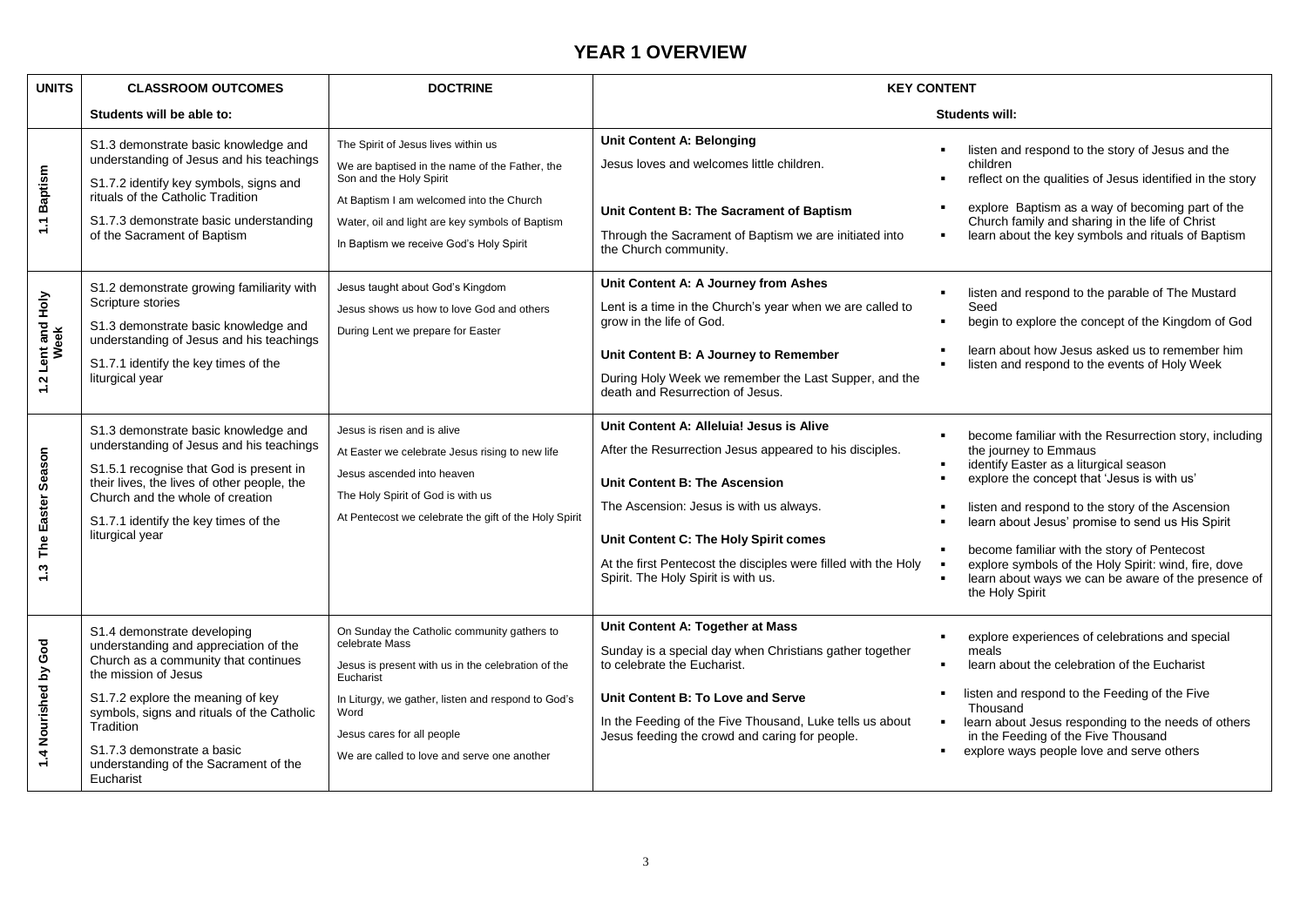## **YEAR 1 OVERVIEW**

| <b>UNITS</b>              | <b>CLASSROOM OUTCOMES</b>                                                                                                                                                                                                                                                                                                | <b>DOCTRINE</b>                                                                                                                                                                                                                                                             | <b>KEY CONTENT</b>                                                                                                                                                                                                                                                                                                                       |                                                                                                                                                                                                                                                                                                                                                                                                                                                                   |
|---------------------------|--------------------------------------------------------------------------------------------------------------------------------------------------------------------------------------------------------------------------------------------------------------------------------------------------------------------------|-----------------------------------------------------------------------------------------------------------------------------------------------------------------------------------------------------------------------------------------------------------------------------|------------------------------------------------------------------------------------------------------------------------------------------------------------------------------------------------------------------------------------------------------------------------------------------------------------------------------------------|-------------------------------------------------------------------------------------------------------------------------------------------------------------------------------------------------------------------------------------------------------------------------------------------------------------------------------------------------------------------------------------------------------------------------------------------------------------------|
|                           | Students will be able to:                                                                                                                                                                                                                                                                                                |                                                                                                                                                                                                                                                                             |                                                                                                                                                                                                                                                                                                                                          | <b>Students will:</b>                                                                                                                                                                                                                                                                                                                                                                                                                                             |
| 1.1 Baptism               | S1.3 demonstrate basic knowledge and<br>understanding of Jesus and his teachings<br>S1.7.2 identify key symbols, signs and<br>rituals of the Catholic Tradition<br>S1.7.3 demonstrate basic understanding<br>of the Sacrament of Baptism                                                                                 | The Spirit of Jesus lives within us<br>We are baptised in the name of the Father, the<br>Son and the Holy Spirit<br>At Baptism I am welcomed into the Church<br>Water, oil and light are key symbols of Baptism<br>In Baptism we receive God's Holy Spirit                  | Unit Content A: Belonging<br>Jesus loves and welcomes little children.<br>Unit Content B: The Sacrament of Baptism<br>Through the Sacrament of Baptism we are initiated into<br>the Church community.                                                                                                                                    | listen and respond to the story of Jesus and the<br>children<br>reflect on the qualities of Jesus identified in the story<br>explore Baptism as a way of becoming part of the<br>Church family and sharing in the life of Christ<br>learn about the key symbols and rituals of Baptism<br>$\blacksquare$                                                                                                                                                          |
| 1.2 Lent and Holy<br>Week | S1.2 demonstrate growing familiarity with<br>Scripture stories<br>S1.3 demonstrate basic knowledge and<br>understanding of Jesus and his teachings<br>S1.7.1 identify the key times of the<br>liturgical year                                                                                                            | Jesus taught about God's Kingdom<br>Jesus shows us how to love God and others<br>During Lent we prepare for Easter                                                                                                                                                          | Unit Content A: A Journey from Ashes<br>Lent is a time in the Church's year when we are called to<br>grow in the life of God.<br>Unit Content B: A Journey to Remember<br>During Holy Week we remember the Last Supper, and the<br>death and Resurrection of Jesus.                                                                      | listen and respond to the parable of The Mustard<br>Seed<br>begin to explore the concept of the Kingdom of God<br>learn about how Jesus asked us to remember him<br>listen and respond to the events of Holy Week                                                                                                                                                                                                                                                 |
| The Easter Season<br>1.3  | S1.3 demonstrate basic knowledge and<br>understanding of Jesus and his teachings<br>S1.5.1 recognise that God is present in<br>their lives, the lives of other people, the<br>Church and the whole of creation<br>S1.7.1 identify the key times of the<br>liturgical year                                                | Jesus is risen and is alive<br>At Easter we celebrate Jesus rising to new life<br>Jesus ascended into heaven<br>The Holy Spirit of God is with us<br>At Pentecost we celebrate the gift of the Holy Spirit                                                                  | Unit Content A: Alleluia! Jesus is Alive<br>After the Resurrection Jesus appeared to his disciples.<br><b>Unit Content B: The Ascension</b><br>The Ascension: Jesus is with us always.<br>Unit Content C: The Holy Spirit comes<br>At the first Pentecost the disciples were filled with the Holy<br>Spirit. The Holy Spirit is with us. | become familiar with the Resurrection story, including<br>the journey to Emmaus<br>identify Easter as a liturgical season<br>explore the concept that 'Jesus is with us'<br>listen and respond to the story of the Ascension<br>learn about Jesus' promise to send us His Spirit<br>become familiar with the story of Pentecost<br>explore symbols of the Holy Spirit: wind, fire, dove<br>learn about ways we can be aware of the presence of<br>the Holy Spirit |
| 1.4 Nourished by God      | S1.4 demonstrate developing<br>understanding and appreciation of the<br>Church as a community that continues<br>the mission of Jesus<br>S1.7.2 explore the meaning of key<br>symbols, signs and rituals of the Catholic<br>Tradition<br>S1.7.3 demonstrate a basic<br>understanding of the Sacrament of the<br>Eucharist | On Sunday the Catholic community gathers to<br>celebrate Mass<br>Jesus is present with us in the celebration of the<br>Eucharist<br>In Liturgy, we gather, listen and respond to God's<br>Word<br>Jesus cares for all people<br>We are called to love and serve one another | Unit Content A: Together at Mass<br>Sunday is a special day when Christians gather together<br>to celebrate the Eucharist.<br>Unit Content B: To Love and Serve<br>In the Feeding of the Five Thousand, Luke tells us about<br>Jesus feeding the crowd and caring for people.                                                            | explore experiences of celebrations and special<br>meals<br>learn about the celebration of the Eucharist<br>listen and respond to the Feeding of the Five<br>Thousand<br>learn about Jesus responding to the needs of others<br>in the Feeding of the Five Thousand<br>explore ways people love and serve others                                                                                                                                                  |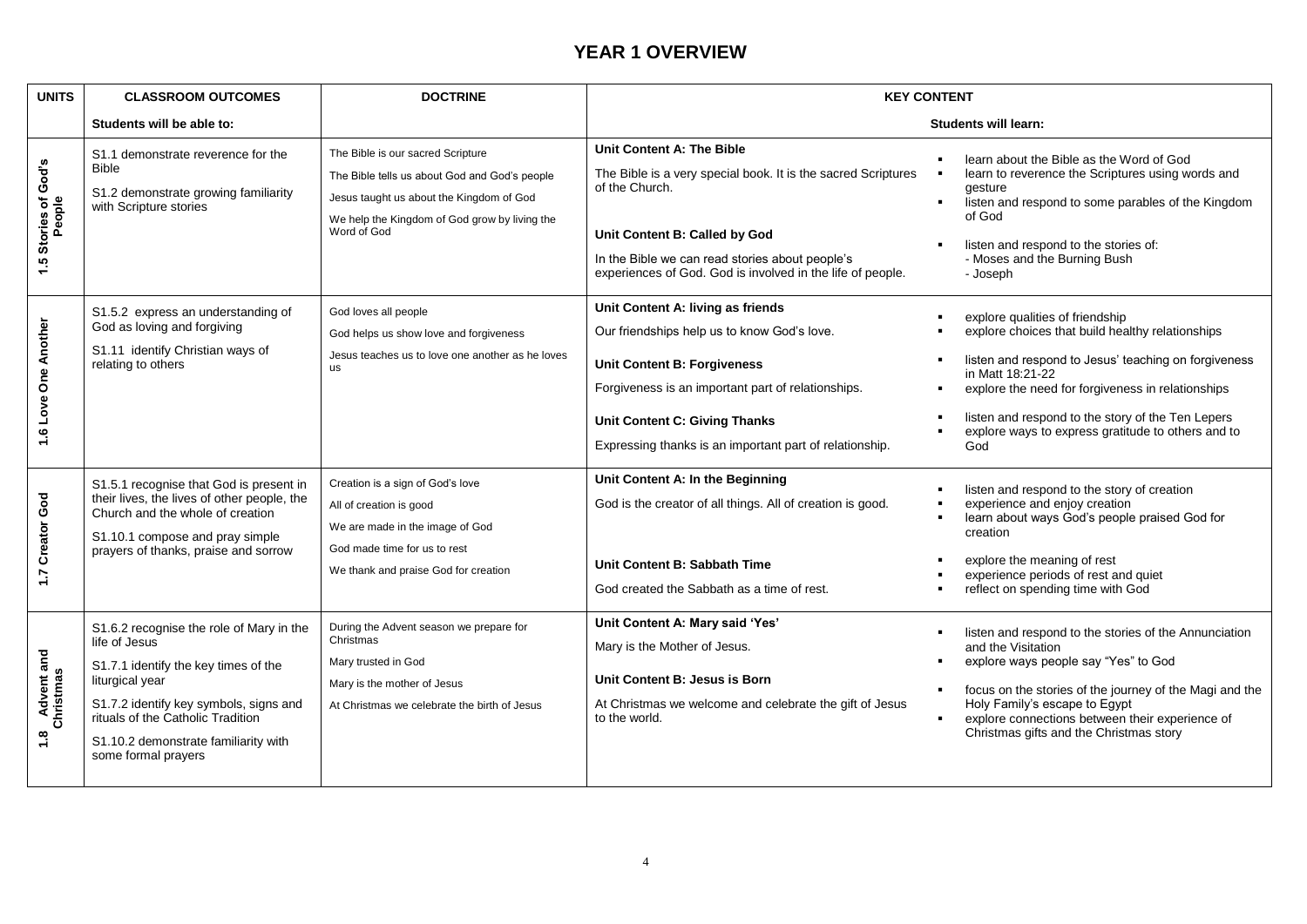## **YEAR 1 OVERVIEW**

| <b>UNITS</b>                       | <b>CLASSROOM OUTCOMES</b>                                                                                                                                                                                                                                          | <b>DOCTRINE</b>                                                                                                                                                                                | <b>KEY CONTENT</b>                                                                                                                                                                                                                                                              |                                                                                                                                                                                                                                                                                                                                        |
|------------------------------------|--------------------------------------------------------------------------------------------------------------------------------------------------------------------------------------------------------------------------------------------------------------------|------------------------------------------------------------------------------------------------------------------------------------------------------------------------------------------------|---------------------------------------------------------------------------------------------------------------------------------------------------------------------------------------------------------------------------------------------------------------------------------|----------------------------------------------------------------------------------------------------------------------------------------------------------------------------------------------------------------------------------------------------------------------------------------------------------------------------------------|
|                                    | Students will be able to:                                                                                                                                                                                                                                          |                                                                                                                                                                                                |                                                                                                                                                                                                                                                                                 | <b>Students will learn:</b>                                                                                                                                                                                                                                                                                                            |
| 1.5 Stories of God's<br>People     | S1.1 demonstrate reverence for the<br><b>Bible</b><br>S1.2 demonstrate growing familiarity<br>with Scripture stories                                                                                                                                               | The Bible is our sacred Scripture<br>The Bible tells us about God and God's people<br>Jesus taught us about the Kingdom of God<br>We help the Kingdom of God grow by living the<br>Word of God | <b>Unit Content A: The Bible</b><br>The Bible is a very special book. It is the sacred Scriptures<br>of the Church.<br>Unit Content B: Called by God<br>In the Bible we can read stories about people's<br>experiences of God. God is involved in the life of people.           | learn about the Bible as the Word of God<br>learn to reverence the Scriptures using words and<br>qesture<br>listen and respond to some parables of the Kingdom<br>of God<br>listen and respond to the stories of:<br>- Moses and the Burning Bush<br>- Joseph                                                                          |
| 1.6 Love One Another               | S1.5.2 express an understanding of<br>God as loving and forgiving<br>S1.11 identify Christian ways of<br>relating to others                                                                                                                                        | God loves all people<br>God helps us show love and forgiveness<br>Jesus teaches us to love one another as he loves<br><b>us</b>                                                                | Unit Content A: living as friends<br>Our friendships help us to know God's love.<br><b>Unit Content B: Forgiveness</b><br>Forgiveness is an important part of relationships.<br><b>Unit Content C: Giving Thanks</b><br>Expressing thanks is an important part of relationship. | explore qualities of friendship<br>explore choices that build healthy relationships<br>listen and respond to Jesus' teaching on forgiveness<br>in Matt 18:21-22<br>explore the need for forgiveness in relationships<br>listen and respond to the story of the Ten Lepers<br>explore ways to express gratitude to others and to<br>God |
| 1.7 Creator God                    | S1.5.1 recognise that God is present in<br>their lives, the lives of other people, the<br>Church and the whole of creation<br>S1.10.1 compose and pray simple<br>prayers of thanks, praise and sorrow                                                              | Creation is a sign of God's love<br>All of creation is good<br>We are made in the image of God<br>God made time for us to rest<br>We thank and praise God for creation                         | Unit Content A: In the Beginning<br>God is the creator of all things. All of creation is good.<br>Unit Content B: Sabbath Time<br>God created the Sabbath as a time of rest.                                                                                                    | listen and respond to the story of creation<br>experience and enjoy creation<br>learn about ways God's people praised God for<br>creation<br>explore the meaning of rest<br>experience periods of rest and quiet<br>reflect on spending time with God                                                                                  |
| <b>Advent and Christmas</b><br>1.8 | S1.6.2 recognise the role of Mary in the<br>life of Jesus<br>S1.7.1 identify the key times of the<br>liturgical year<br>S1.7.2 identify key symbols, signs and<br>rituals of the Catholic Tradition<br>S1.10.2 demonstrate familiarity with<br>some formal prayers | During the Advent season we prepare for<br>Christmas<br>Mary trusted in God<br>Mary is the mother of Jesus<br>At Christmas we celebrate the birth of Jesus                                     | Unit Content A: Mary said 'Yes'<br>Mary is the Mother of Jesus.<br>Unit Content B: Jesus is Born<br>At Christmas we welcome and celebrate the gift of Jesus<br>to the world.                                                                                                    | listen and respond to the stories of the Annunciation<br>and the Visitation<br>explore ways people say "Yes" to God<br>focus on the stories of the journey of the Magi and the<br>Holy Family's escape to Egypt<br>explore connections between their experience of<br>$\blacksquare$<br>Christmas gifts and the Christmas story        |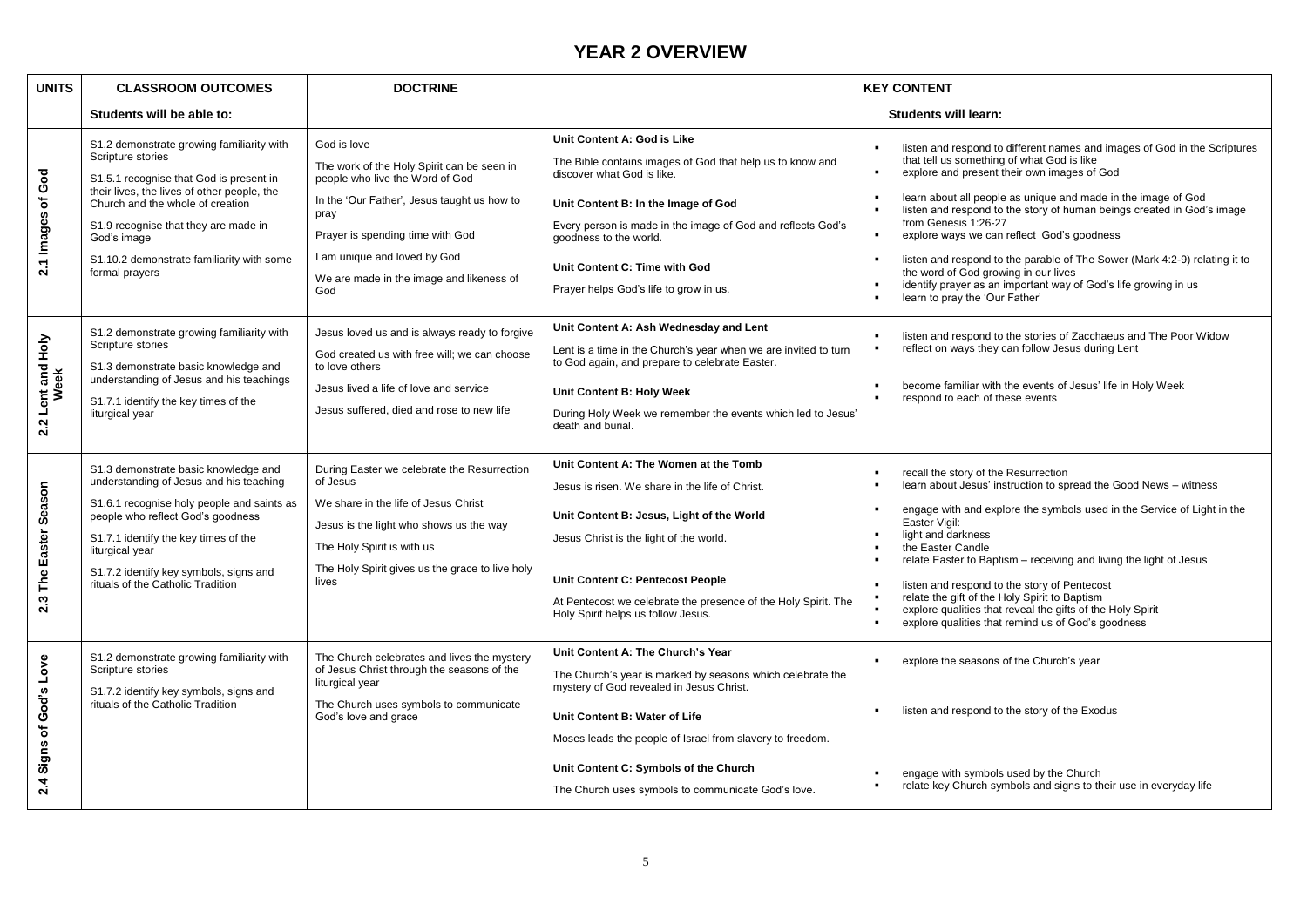### **YEAR 2 OVERVIEW**

| <b>UNITS</b>                                 | <b>CLASSROOM OUTCOMES</b>                                                                                                                                                                                                                                                                                          | <b>DOCTRINE</b>                                                                                                                                                                                                                                                            | <b>KEY CONTENT</b>                                                                                                                                                                                                                                                                                                                       |                                                                                                                                                                                                                                                                                                                                                                                                                                                                                                                                                                                                                    |
|----------------------------------------------|--------------------------------------------------------------------------------------------------------------------------------------------------------------------------------------------------------------------------------------------------------------------------------------------------------------------|----------------------------------------------------------------------------------------------------------------------------------------------------------------------------------------------------------------------------------------------------------------------------|------------------------------------------------------------------------------------------------------------------------------------------------------------------------------------------------------------------------------------------------------------------------------------------------------------------------------------------|--------------------------------------------------------------------------------------------------------------------------------------------------------------------------------------------------------------------------------------------------------------------------------------------------------------------------------------------------------------------------------------------------------------------------------------------------------------------------------------------------------------------------------------------------------------------------------------------------------------------|
|                                              | Students will be able to:                                                                                                                                                                                                                                                                                          |                                                                                                                                                                                                                                                                            | <b>Students will learn:</b>                                                                                                                                                                                                                                                                                                              |                                                                                                                                                                                                                                                                                                                                                                                                                                                                                                                                                                                                                    |
| God<br>$\overline{\mathbf{o}}$<br>2.1 Images | S1.2 demonstrate growing familiarity with<br>Scripture stories<br>S1.5.1 recognise that God is present in<br>their lives, the lives of other people, the<br>Church and the whole of creation<br>S1.9 recognise that they are made in<br>God's image<br>S1.10.2 demonstrate familiarity with some<br>formal prayers | God is love<br>The work of the Holy Spirit can be seen in<br>people who live the Word of God<br>In the 'Our Father', Jesus taught us how to<br>pray<br>Prayer is spending time with God<br>I am unique and loved by God<br>We are made in the image and likeness of<br>God | Unit Content A: God is Like<br>The Bible contains images of God that help us to know and<br>discover what God is like.<br>Unit Content B: In the Image of God<br>Every person is made in the image of God and reflects God's<br>goodness to the world.<br>Unit Content C: Time with God<br>Prayer helps God's life to grow in us.        | listen and respond to different names and images of God in the Scriptures<br>that tell us something of what God is like<br>explore and present their own images of God<br>learn about all people as unique and made in the image of God<br>listen and respond to the story of human beings created in God's image<br>from Genesis 1:26-27<br>explore ways we can reflect God's goodness<br>listen and respond to the parable of The Sower (Mark 4:2-9) relating it to<br>the word of God growing in our lives<br>identify prayer as an important way of God's life growing in us<br>learn to pray the 'Our Father' |
| 2.2 Lent and Holy<br>Week                    | S1.2 demonstrate growing familiarity with<br>Scripture stories<br>S1.3 demonstrate basic knowledge and<br>understanding of Jesus and his teachings<br>S1.7.1 identify the key times of the<br>liturgical year                                                                                                      | Jesus loved us and is always ready to forgive<br>God created us with free will; we can choose<br>to love others<br>Jesus lived a life of love and service<br>Jesus suffered, died and rose to new life                                                                     | Unit Content A: Ash Wednesday and Lent<br>Lent is a time in the Church's year when we are invited to turn<br>to God again, and prepare to celebrate Easter.<br>Unit Content B: Holy Week<br>During Holy Week we remember the events which led to Jesus'<br>death and burial.                                                             | listen and respond to the stories of Zacchaeus and The Poor Widow<br>reflect on ways they can follow Jesus during Lent<br>become familiar with the events of Jesus' life in Holy Week<br>٠<br>respond to each of these events                                                                                                                                                                                                                                                                                                                                                                                      |
| Season<br>2.3 The Easter                     | S1.3 demonstrate basic knowledge and<br>understanding of Jesus and his teaching<br>S1.6.1 recognise holy people and saints as<br>people who reflect God's goodness<br>S1.7.1 identify the key times of the<br>liturgical year<br>S1.7.2 identify key symbols, signs and<br>rituals of the Catholic Tradition       | During Easter we celebrate the Resurrection<br>of Jesus<br>We share in the life of Jesus Christ<br>Jesus is the light who shows us the way<br>The Holy Spirit is with us<br>The Holy Spirit gives us the grace to live holy<br>lives                                       | Unit Content A: The Women at the Tomb<br>Jesus is risen. We share in the life of Christ.<br>Unit Content B: Jesus, Light of the World<br>Jesus Christ is the light of the world.<br>Unit Content C: Pentecost People<br>At Pentecost we celebrate the presence of the Holy Spirit. The<br>Holy Spirit helps us follow Jesus.             | recall the story of the Resurrection<br>learn about Jesus' instruction to spread the Good News - witness<br>engage with and explore the symbols used in the Service of Light in the<br>Easter Vigil:<br>light and darkness<br>the Easter Candle<br>٠<br>relate Easter to Baptism - receiving and living the light of Jesus<br>listen and respond to the story of Pentecost<br>relate the gift of the Holy Spirit to Baptism<br>explore qualities that reveal the gifts of the Holy Spirit<br>explore qualities that remind us of God's goodness                                                                    |
| Signs of God's Love<br>2.4                   | S1.2 demonstrate growing familiarity with<br>Scripture stories<br>S1.7.2 identify key symbols, signs and<br>rituals of the Catholic Tradition                                                                                                                                                                      | The Church celebrates and lives the mystery<br>of Jesus Christ through the seasons of the<br>liturgical year<br>The Church uses symbols to communicate<br>God's love and grace                                                                                             | Unit Content A: The Church's Year<br>The Church's year is marked by seasons which celebrate the<br>mystery of God revealed in Jesus Christ.<br>Unit Content B: Water of Life<br>Moses leads the people of Israel from slavery to freedom.<br>Unit Content C: Symbols of the Church<br>The Church uses symbols to communicate God's love. | explore the seasons of the Church's year<br>listen and respond to the story of the Exodus<br>engage with symbols used by the Church<br>relate key Church symbols and signs to their use in everyday life                                                                                                                                                                                                                                                                                                                                                                                                           |